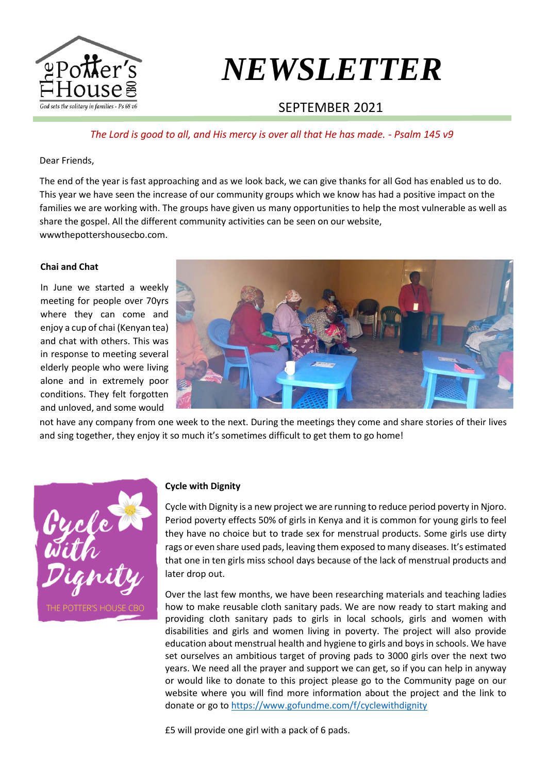

# *NEWSLETTER*

## SEPTEMBER 2021

#### *The Lord is good to all, and His mercy is over all that He has made. - Psalm 145 v9*

Dear Friends,

The end of the year is fast approaching and as we look back, we can give thanks for all God has enabled us to do. This year we have seen the increase of our community groups which we know has had a positive impact on the families we are working with. The groups have given us many opportunities to help the most vulnerable as well as share the gospel. All the different community activities can be seen on our website, wwwthepottershousecbo.com.

#### **Chai and Chat**

In June we started a weekly meeting for people over 70yrs where they can come and enjoy a cup of chai (Kenyan tea) and chat with others. This was in response to meeting several elderly people who were living alone and in extremely poor conditions. They felt forgotten and unloved, and some would



not have any company from one week to the next. During the meetings they come and share stories of their lives and sing together, they enjoy it so much it's sometimes difficult to get them to go home!



#### **Cycle with Dignity**

Cycle with Dignity is a new project we are running to reduce period poverty in Njoro. Period poverty effects 50% of girls in Kenya and it is common for young girls to feel they have no choice but to trade sex for menstrual products. Some girls use dirty rags or even share used pads, leaving them exposed to many diseases. It's estimated that one in ten girls miss school days because of the lack of menstrual products and later drop out.

Over the last few months, we have been researching materials and teaching ladies how to make reusable cloth sanitary pads. We are now ready to start making and providing cloth sanitary pads to girls in local schools, girls and women with disabilities and girls and women living in poverty. The project will also provide education about menstrual health and hygiene to girls and boys in schools. We have set ourselves an ambitious target of proving pads to 3000 girls over the next two years. We need all the prayer and support we can get, so if you can help in anyway or would like to donate to this project please go to the Community page on our website where you will find more information about the project and the link to donate or go to <https://www.gofundme.com/f/cyclewithdignity>

£5 will provide one girl with a pack of 6 pads.